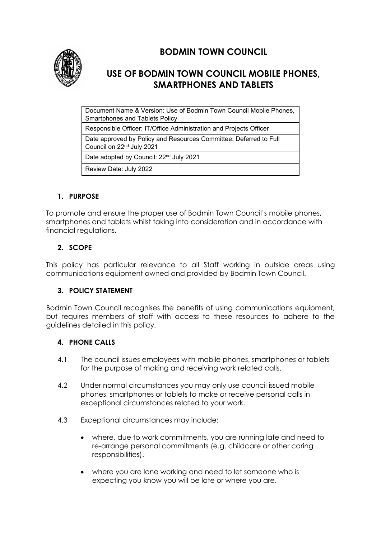

# **BODMIN TOWN COUNCIL**

## **USE OF BODMIN TOWN COUNCIL MOBILE PHONES, SMARTPHONES AND TABLETS**

Document Name & Version: Use of Bodmin Town Council Mobile Phones, Smartphones and Tablets Policy

Responsible Officer: IT/Office Administration and Projects Officer

Date approved by Policy and Resources Committee: Deferred to Full

Council on 22nd July 2021

Date adopted by Council: 22<sup>nd</sup> July 2021

Review Date: July 2022

## **1. PURPOSE**

To promote and ensure the proper use of Bodmin Town Council's mobile phones, smartphones and tablets whilst taking into consideration and in accordance with financial regulations.

## **2. SCOPE**

This policy has particular relevance to all Staff working in outside areas using communications equipment owned and provided by Bodmin Town Council.

## **3. POLICY STATEMENT**

Bodmin Town Council recognises the benefits of using communications equipment, but requires members of staff with access to these resources to adhere to the guidelines detailed in this policy.

### **4. PHONE CALLS**

- 4.1 The council issues employees with mobile phones, smartphones or tablets for the purpose of making and receiving work related calls.
- 4.2 Under normal circumstances you may only use council issued mobile phones, smartphones or tablets to make or receive personal calls in exceptional circumstances related to your work.
- 4.3 Exceptional circumstances may include:
	- where, due to work commitments, you are running late and need to re-arrange personal commitments (e.g. childcare or other caring responsibilities).
	- where you are lone working and need to let someone who is expecting you know you will be late or where you are.